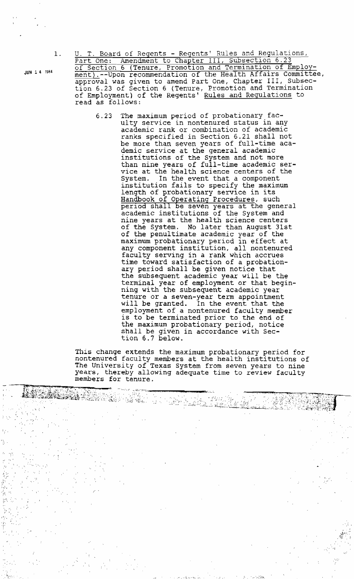**JUN** 1 **4 1984** 

U. T. Board of Regents - **Regentsf** Rules and Regulations, of Section 6 (Tenure, Promotion and Termination of Employ**ment).--Upon recommendation of** the Health Affairs **Committee, approval was** given **to amend** Part One, Chapter III, Subsection 6.23 of **Section** 6 (Tenure, **Promotion** and **Termination**  of **Employment) of** the Regents ' **Rules and Regulations** to **read as follows:** 

U. T. Board of Regents - Regents' Rules and Regulations,<br>
Part One: Amendment to Chapter III, Subsection 6.23<br>
Part Scrib of Tenure, Promotion and Termination of Employ-<br>
mericular of Tenure, Promotion and Termination of **6.23** The maximum period of **probationary** fatulty service in nontenured status in any academic **rank** or **combination** of **academic**  ranks specified **in** Section **6.21 shall** not be more than seven years of full-time aca**demic service at the general academic**  institutions **of** the System and **not** more than nine years **of full-time academic** ser**vice at** the health **science centers of the**  System. In **the** event **that** a component institution **fails to** specify the **maximum length of probationary service in its**  andb book of operating-procedures , **such period shall be seven** years **at the** general academic institutions of the System and **nine** years **at** the health **science centers of** the System, **No** later than August **31st of** the penultimate **academic year of the maximum** probationary period in effect **at**  any **component** institution, all nontenured **faculty serving** in **a rank which** accrues **time toward satisfaction of a** probationary **period shall be given notice that**  the **subsequent** academic **year will be** the **terminal** year **of employment or that beginning with the subsequent** academic year **tenure or** a **seven-year** term appointment **will be** granted. In the **event that** the **employment of** a **nontenured** faculty member **is** to **be terminated prior to** the **end of the maximum probationary** period, notice **shall be** given in **accordance** with Section 6.7 **below.** 

**This change extends the maximum probationary** period for nontenured faculty **members at** the health **institutions of**  The **University of** Texas **System** from **seven** years **to** nine **years,** thereby **allowing** adequate time to **review** faculty **members** for **tenure.** 

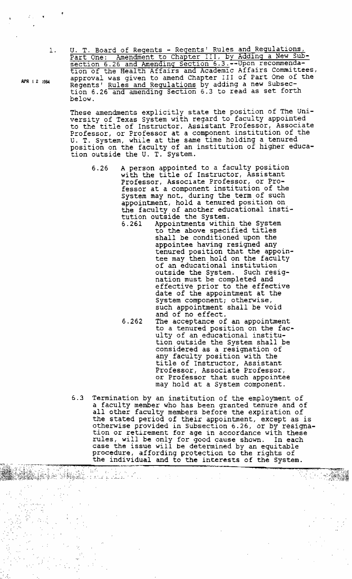U. T. Board of Regents - Regents' Rules and Regulations,<br>
Part One: Amendment to Chapter III, by Adding a New Sub-<br>
section 6.26 and Amending Section 6.3.--Upon recommenda-<br>
tion of the Health Affairs and Academic Affairs **APR 12 l9&** amroval **was aiven** to amend Chapter I I I **of** Part One of the  $k$ egents' <u>Rules and Regulations</u> by adding a new Subsection 6.26 and amending Section 6.3 to read as set forth **below.** 

> **These** amendments **explicitly** state the position of The **University** of Texas **System** with **regard** to faculty **appointed to** the title **of Instructor, Assistant** Professor, **Associate Professor, or Professor at** a **component** institution of **the U- T.** System, **while at the same time holding** a tenured **position on the** faculty **of an** institution **of** higher education outside **the U. T.** System.

**6.26 A** person **appointed to a faculty position with** the title **of Instructor, Assistant**  Professor, **Associate Professor,** or Pro**fessor at** a **component** institution **of** the *System* **may** not, **during** the term of **such appointment,** hold a **tenured position** on the **faculty of** another **educational institution outside the System.** 

**6.261 Appointments** within **the System to the above** specified titles **shall be** conditioned **upon** the **appointee having** resigned **any tenured position that the** appoin**tee may** then **hold on** the **faculty of an educational** institution **outside the System. Such resig**nation **must be completed** and effective prior **to the effective date of** the **appointment** at **the System** component; **otherwise, such appointment shall be void**  and **of no** effect.

ha Ke ACHARACH (1954)

- 6.262 The acceptance **of an appointment to a tenured position on** the faculty of **an educational institu**tion outside the System **shall be considered** as a resignation of any faculty **position with the**  title **of Instructor, Assistant Professor, Associate** Professor, **or** Professor that **such appointee may** hold **at** a System **component.**
- *6.3* **Termination by** an **institution** of the **employment of**  a **faculty** member **who** has been **granted** tenure **and of**  all other **faculty members before** the expiration of the stated **period of** their appointment, except as **is otherwise provided in Subsection** 6.26, or **by resigna**tion **or retirement** for **age in accordance with these rules, will be only** for **good cause shown. In** each **case the issue will be determined by an equitable**  procedure, affording protection **to** the rights **of the individual** and **to the interests of** the **System.**

 $1.$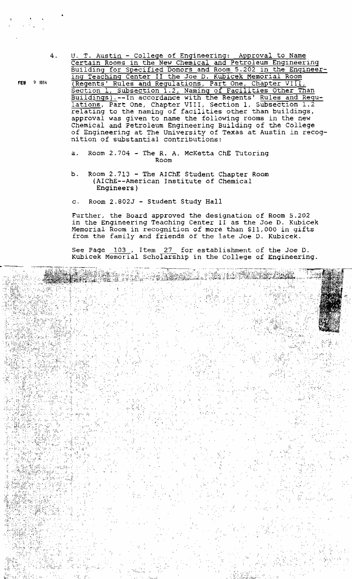9 1984

**U.** T. Austin - **Colleqe of Engineering:** Approval **to Name**  Certain **ROO~S** in **the New Chemical and Petroleum Engineering Building for Specified Donors and Room 5.202** in the **Enqineering** Teachinq Center **11 the Joe** D. **Kubicek ~emorial Room (Reqentsf Rules** and Regulations, **Part** One, Chapter VIII, Sectlon 1, Subsection **1.2, Naming** of Facilities Other Than **Buildinqs).--In accordance** with **the** Regents' Rules and **Requlations, Part One,** Chapter **VIII,** Section **1,** ~mon **1.2 relating to the naming of facilities other than buildings, approval** was given **to name the following rooms** in the new **Chemical** and **Petroleum Engineering Building of the College**  of **Engineering** at The **University** of **Texas at** Austin in **recog**nition of **substantial contributions:** 

- **a, Room** 2.704 **The R, A. McKetta ChE** Tutoring **Room**
- **b. Room** 2.713 **The AIChE Student** Chapter **Room (AIChE--American** Institute **of Chemical Engineers** )

Stations

**c. Room 2.8025** - Student **Study Hall** 

Further, **the Board approved** *the* **designation of Room** 5.202 in the Engineering Teaching Center II as the Joe D. Kubicek **Memorial Room** in **recognition of more than \$11,000** in **gifts**  from the family and friends of the late Joe D. Kubicek.

**See Page 103** , **Item** 27 for **establishment of the** Joe **D.**  Kubicek Memorial Scholarship in the College of Engineering.

II siyada ba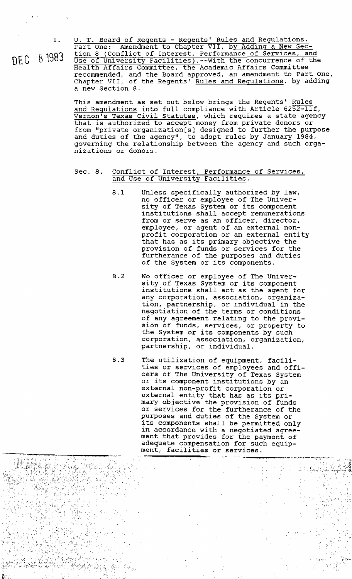-\*\_. ,

, ,  $\mathcal{L} \in \mathbb{R}^{n \times n}$  ,  $\mathcal{L}$ 

-.' , , - - *,-&-y::* :,,<, : ,:, .. . ,, > ., ,. ,' ' **<sup>I</sup>**

,. . . , - -, , ,,

**A,** . , , **CC;,~** . .,:, , - ., ., . ..: , ,

- >-

(,,, - , ,,- , , . ,.

'. .. 1 < ,:-, ., ,,, . . **<sup>I</sup>**

, , ;. ,; ,,>:,:, , , **A.** 

-,

>, .'? '- **i.** ' , -, ,, m . **'I <sup>I</sup>**

 $\vec{\xi}_i \gamma_{\vec{\xi}_i}$ 

**<sup>3</sup>**-, .,, - , ',

**1. U. T. Board of Regents** - **Reqents' Rules and Requlations,**   $\frac{\text{P}}{\text{Par}}$ **tion** 8 (Conflict of Interest, Performance **of Services, and** nFC 8 1983 **USE of Universitv ~acilities).--with** the **concurrence** of the Health Affairs **Committee,** the **Academic** Affairs **Committee recommended, and** the **Board** approved, an amendment **to** Part One, Chapter VII, of the Regents' Rules and Regulations, by adding **a new** Section **8.** 

> **This** amendment **as set** out below **brings** the **Regents' Rules and Regulations into full compliance with Article 6252-llf, Vernon's Texas Civil Statutes,** which **requires** a state **agency**  that **is authorized to** accept money from private **donors or from** "private **organization[s] designed to further** the **purpose**  and **duties of** the **agency", to** adopt **rules by January 1984, governing the relationship between the agency** and such **organizations or donors.**

## **Sec. 8. Conflict of Interest,** Performance **of Services, and Use of University Facilities.**

- **8.1 Unless specifically authorized by law, no** officer **or employee of** The Univer**sity of Texas System or its component institutions shall** accept **remunerations from or serve as an officer, director, employee, or agent of an external non**profit corporation **or an external** entity **that** has as **its primary objective** the **provision of funds or services** for the furtherance **of** the **purposes and duties of** the **System or its components.**
- **8.2 No** officer **or employee of The Univer**sity of Texas **System** or **its** component **institutions shall act as the** agent for **any corporation, association,** organization, **partnership, or individual** in **the negotiation of** the **terms or conditions of any agreement relating to the provision of funds, services, or property to the System or its components by such corporation, association, organization, partnership, or individual.**
- **8.3 The utilization of equipment, facilities or services of employees and** offi**cers of** The **University of Texas System**  or **its** component **institutions by an**  external non-profit corporation **or external** entity **that has as** its primary objective the **provision** of funds **or services** for the **furtherance of** the **purposes and duties of** the **System** or **its components shall be permitted only in accordance with a negotiated agreement that provides** for the payment **of adequate compensation** for **such equip ment,** facilities **or services.** . ., -. , < ... .. - ., ., , , . ., . <. , . , - - , , **,,p,:** ,..,. , ,, >11 -.:,. ,, ,.-,.,. -, , **\_\_\_..\_171\_\_** ".,.-- >---- - ,. . . . , **,L** ". :

: :. ,,: **I..** .I, ,', .. -. '. 4

. ,: , .. **I..** ' ,. , - ,, ,,. , , , m,

. The second contribution of the contribution of the contribution of the contribution  $\mathbb{C}$  , we can also be contributed for the contribution of the contribution of the contribution of the contribution of the contribut

.. **.I** 

 $\mathbb{R}^n \times \mathbb{R}^n$ 

.. ,

 $\frac{1}{2}$  ,  $\frac{1}{2}$  ,  $\frac{1}{2}$  ,  $\frac{1}{2}$  ,  $\frac{1}{2}$  ,  $\frac{1}{2}$ 

-, , , ,

**.1<",** , +:: ,- , , - . **"I <sup>I</sup>**: .,, - -' - )\*c-; <,?;:!: ?:;;,.\$:;> :." .,,>.;;.,.;: **-,:.\$;>:T.,."** , **T.,** ,.I. , ;--, . **-5:;** ,: . ,, **rr,** <,, ,, -<-. . > .. <., . , , , , , '. , - - < : ,., .<- ,< ,-<\$ . . ..< ! *7,* . , , , ' , , ! ., . -, - . , , . , . , , , :: ,.: .. - : **:-.d,:.,.~~,.** .>; **rn.2** ,\$ " **,,.<A** ,,, ,, -, <,=,, < ,,,! **.,-;';',v:-.,,,** ,<, ,'-" **<sup>i</sup>**' --::/-'' , -, <.' **A,;,** '< - ' : ,

., , , ;:, , , - **.,91,.** ,,.. ,. **"L'** - , , - ' ' , . - . , , . , , . ,- *.r{* ,',;.-->,. '.- ,:,:,,,; ,..... , , , ,::<,>:- 7 , : ,., ., , ' . , - ,... ,. , ' , , . ,- , , ,! , ; ,> ,, ;-, -, .:, **I** .. m <, ' ,: **I <sup>I</sup>**, - , . **.A** , -. ,, . **1>** "" " , <, **>;.,:A <sup>2</sup>**,.-:,, ,. , , -

, , :., -' .-":': ;>>: : ,> ,, -, ' , , ,.. <, :, - ,

, . + --,;; **-'i,,,:** -<- - , .\*>. , ,,> ' . , . > ., : ,.I . -,, ',, **7.** " , ,, .' ,. - . , >' ;, ,<. , , , , , ,: ,, '. ,-,; ,, , - . . :;., ,, ,; , :< ;. ,, . . ". -' -' : ' -. , **<sup>I</sup>**,,". , < ,,

, , ., , .,, . , .,. , . -, ,- ,

, ,. , .: , - , ,

**I...., .I** - , .. . ,, , ., , **4..** , **,'-I'** , **->\*I,.** : , -. .- ' .. .- , . **I.>,,** . .; ', - . , ., i:., **i.** ,: , , -

. ., ,,, , . **L.'** . ". . .:. . , <- ,,. , , . ,, ,,.-- ,,,'., -- . :> .' , , ., , ., . ,, , . ,- ,.< :. .> - ,, , ;<- : -, ,, , '... , " ,. . . - ,<\$ - -, <,,-

, ',, ,.. **I** , -, , , , ,. > .' ,;.' ,,; ,..-. ; ,:, ,<-.,, '. ;, . " . , . -. . . . - <, ,:. , , , ' ., ,... < , , :.,I.L :. **<c;\\*>:** ,:.:,,,:: ,< <,<- :,,: ,;;;;: :',: ,':; **:y>-:,:** , -, , - . - I.' , ' , . ,, , . .:I- **I... '3:** >,, **;.,:,\*,:7L,,',..,:~,.,;,,mAt:.::** ,;, **i"c-,k,,k,!<,** !,+. :.:; <- ;&, ; -;. . . , .><.-, **5,** 

' **..I** , , -. , ,, **k** .- :% ,;, <" '- , - - : , -" ,- ,' ' , . " - - < ' < **5..** - - .. . .,- . . , , ' \,,:> <:,. .,. .!,, ,<,, ,,, ,,?. , , , , I I' . ,, , , - -, ,, >.. ,. , < , , , ,, ', **5-** - < , ,, , . , ., , , , , ;',> , ,< :, - , -- ". , :, . .' ' '- **<.>A** - , - 海 / 納 / 薬/ 議和法 / 大学/ 案/ 文字 / 科 / 大夫/ マンド・マーク / マンド・マーク / マンド・マーク / マンド・マーク / ブラッド

., **,A** ,, -, <, , , ; . , ,, , , ., ,."! > , , -' , ,, ,-.' **r-.** > , . , , , ,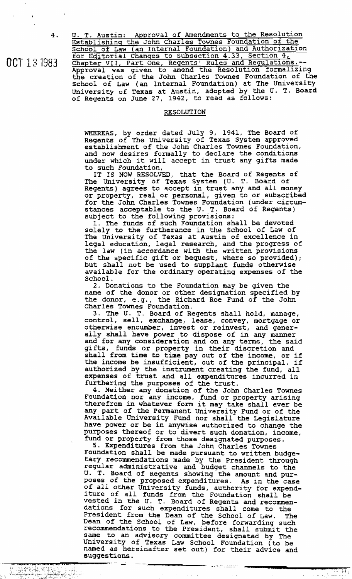OCT 13 1983

**U. T. Austin: Approval of Amendments to the Resolution Establishinq the John Charles Townes Foundation of** the School of Law (an Internal Foundation) and Authorization **for** Editorial **Chanqes to subsection 4.33, Section 4, Chapter VII,** Part **One, Reqentsf Rules** and **~egu1ations.-- Approval was** given **to amend** the **Resolution formalizing**  the **creation of** the **John Charles Townes Foundation of the School of Law** (an **Internal Foundation) at** The **university**  University of Texas at Austin, adopted by the U. T. Board<br>of Regents on June 27, 1942, to read as follows:

## **RESOLUTION**

**WHEREAS, by order dated** July **9, 1941,** The **3oard of Regents of The University of Texas System approved**   $e$ stablishment of the John Charles Townes Foundation, **and now desires** formally **to declare** the **conditions under which it will** accept **in** trust **any gifts made to such Foundation,** 

**IT IS NOW RESOLVED,** that **the Board of Regents of The university of Texas System (U. T. Board of Regents** ) **agrees to** accept **in trust any** and all money **or property, real or personal, given to or subscribed**  for the John Charles Townes Foundation (under circum**stances acceptable to the U. T. Board of Regents)**  subject **to the following provisions:** 

**I.** The **funds of** such **Foundation shall be devoted solely to the furtherance in the School of Law of The University of Texas at Austin of excellence in legal education, legal research, and the progress of the law (in accordance with** the **written provisions of ~e specific** gift **or bequest, where so provided); but shall** *not* **be used to supplant funds otherwise available** for **the** ordinary operating **expenses of the School.** 

**2. Donations to** the **Foundation may be** given **the name of the donor or** other **designation specified by**  the **donor, e. g.** , **the** Richard Roe Fund **of the John Charles Townes Foundation.** 

**3.** The **U. T.** Board **of Regents shall hold, manage, control, sell, exchange, lease, convey, mortgage or otherwise encumber, invest or reinvest, and gener**ally **shall have power to dispose of in any manner and** for any **consideration and on** any **terms,** the **said**  gifts, **funds or** property **in their discretion and shall** from **time to time pay out of** the **income, or if the income be insufficient,** out **of** the **principal, if authorized by the instrument creating the fund, all expenses of** trust **and all expenditures** incurred **in furthering the purposes of** the **trust.** 

**4. Neither** any donation **of the** John **Charles Tomes Foundation** nor **any income, fund or property arising therefrom in whatever** form **it may take shall ever be my part of** the Permanent **University Fund or of the Available University Fund** nor **shall** the **Legislature have power or be in anywise** authorized **to change the purposes thereof or to divert such donation, income, fund or property from those designated purposes.** 

5. **Expenditures** from **the** John **Charles Townes Foundation shall be made pursuant to written budgetary recommendations made by** the **President** thxough regular **administrative** and **budget channels to** the **U. T. Board of Regents showing the** amount **and purposes of the proposed expenditures. As in the case of all other University funds, authority** *for* **expend- iture of all funds from** the **Foundation shall be vested in the U. T. Board of Regents and recommendations** for **such expenditures shall come to the President** from **the Dean of the School of Law. The Dean of** the **School of** Law, **before forwarding such recommendations to the President, shall suhmit the same to an advisory committee designated by** he **University of Texas** Law **School Foundation (to be named as hereinafter set** out) **for their advice and**   $s$ uggestions.

, . -- -- . .-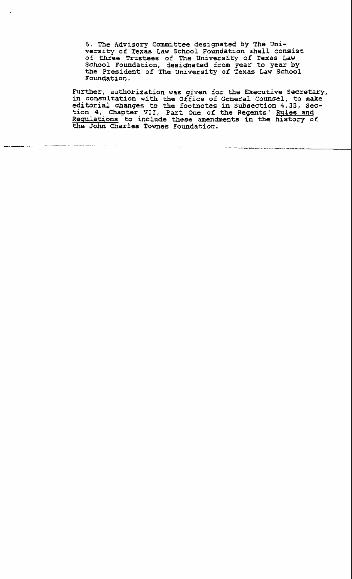**6,** The **Advisory** Committee **designated by The University of Texas Law School Foundation shall consist of three Trustees of The University of Texas Law School Foundation, designated** from **year to year by the President of** The **University of Texas Law School Foundation.** 

**Further, authorization was given** for the **Executive Secretaxy, in consultation with the Office of General Counsel, to make editorial changes to the footnotes in subsection 4.33, sec**tion **4, Chapter VII, Part** One **of the Regents** ' **Rules and Requlations to include these amendments in the history of the** John **Charles Tomes** Foundation.

.<br>The first contractive components and contract the contract of the contract of the contract of the contract of

.<br>De la familience de la familience de la familience de la familience de la familience de la familience de la fa

*Commission*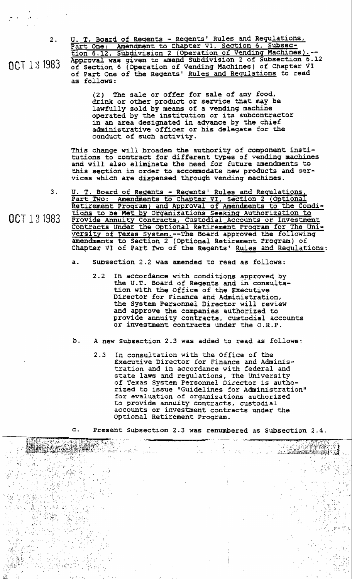**2, U. T. Board of Reqents** - **Reqentsf Rules** and **Requlations, Part One: Amendment to** Chapter **VI, Section 6, Subsec-** ' tion **6.12, ~ubdivision 2** (Operation **of Vendinq Machhes).-- Approval was given to amend subdivision 2 of subsection 6.12** OCT 1 3 1983 **of section 6** (operation **ai vending Machines of chapter VI of Part** One **of the Regents Rules and Requlations to read as follows:** 

> **(2) The sale or offer** for **sale of any food, drink or other product or sexvice that may be lawfully sold by means of a vending machine operated by the institution or** its **subcontractor in an area designated in advance by the chief administrative officer or his delegate for the conduct of such activity.**

This **change will broaden the authority of** component insti**tutions to** contxact **for different types of** vending **machines and will also eliminate the need** for **future amendments to this section in order to accommodate new products and services which are dispensed through vending machines.** 

- **3. U. T, Board of Reqents Reqentst Rules and Requlations, Part Two: Amendments to** Chapter **VI, section 2** (Optional **Retirement** Proqram) **and Approval of Amendments to the Conditions to be Met by ~rqanizations Scekinq ~uthorization to** OCT 13 1983 **Provide Annuity Contracts, Custodial Accounts or Investment Contracts Under the Optional** Retirement **Proqram** for **The Unlversity of Texas System.--The Board approved the** following amendments **to Section 2** (Optional **Retirement Program) of**  Chapter **VI** of Part Two of the Regents' Rules and Regulations:
	- **a. Subsection 2.2 was amendedto read as follows:** 
		- **2.2 In accordance with conditions approved by the U.T. Board of Regents and in consulta**tion **with the** Office **of the Executive**  Director for **Finance and Administration, the System Personnel** Director **will review and approve the companies authorized to provide annuity contracts, custodial accounts or investment** contracts **under** the **D.R.P.**
	- **b. A new Subsection 2.3 was added to read as follows:** 
		- **In consuLtation** with **the Office of the**   $2.3$ **Executive** Director for Finance **and Adminis**tration and **in accordance** with **federal and state laws and regulations, The University of Texas System Personnel** Director **is** autho**rized to issue llGuidelines for Administration"**  for **evaluation of organizations authorized to provide** annuity **contracts, custodial accounts or investment** contracts **under the**  optional Retirement Program.

**c. Present Subsection 2.3 was renumbered as Subsection 2.4.** 

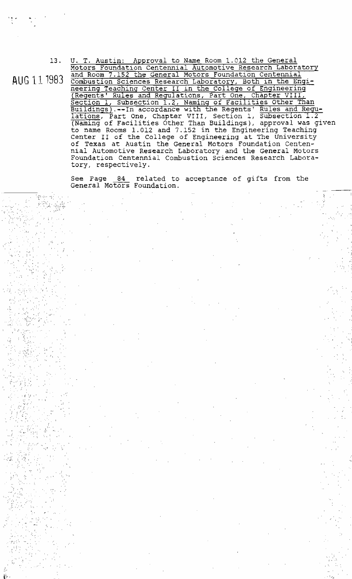AUG 11 1983

Motors Foundation Centennial Automotive Research Laboratory and Room 7.152 the General Motors Foundation Centennial Combustion Sciences Research Laboratory, Both in the Engi-<br>neering Teaching Center II in the College of Engineering<br>(Regents' Rules and Regulations, Part One, Chapter VIII, Section 1, Subsection 1.2, Naming of Facilities Other Than Buildings).--In accordance with the Regents' Rules and Regu-<br>
lations, Part One, Chapter VIII, Section 1, Subsection 1.2<br>
(Naming of Facilities Other Than Buildings), approval was given<br>
to name Rooms 1.012 and 7.152 in th Center II of the College of Engineering at The University of Texas at Austin the General Motors Foundation Centennial Automotive Research Laboratory and the General Motors<br>Foundation Centennial Combustion Sciences Research Laboratory, respectively.

T. Austin: Approval to Name Room 1.012 the General

See Page 84 related to acceptance of gifts from the General Motors Foundation.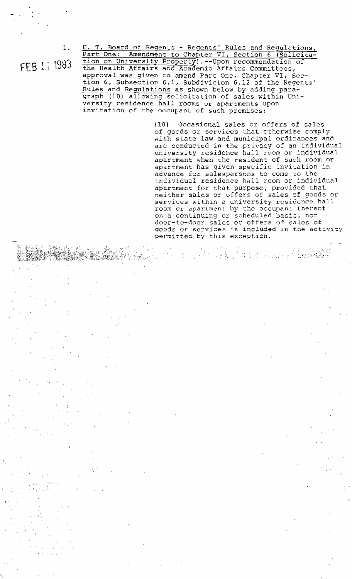FEB 11 1983

 $1.$ 

U. T. Board of Regents - Regents' Rules and Regulations,<br>Part One: Amendment to Chapter VI, Section 6 (Solicita-<br>tion on University Property).--Upon recommendation of<br>the Health Affairs and Academic Affairs Committees, approval was given to amend Part One, Chapter VI, Section 6, Subsection 6.1, Subdivision 6.12 of the Regents' Rules and Regulations as shown below by adding para-<br>graph (10) allowing solicitation of sales within University residence hall rooms or apartments upon invitation of the occupant of such premises:

> $(10)$ Occasional sales or offers of sales of goods or services that otherwise comply with state law and municipal ordinances and are conducted in the privacy of an individual university residence hall room or individual apartment when the resident of such room or apartment has given specific invitation in advance for salespersons to come to the<br>individual residence hall room or individual apartment for that purpose, provided that neither sales or offers of sales of goods or services within a university residence hall room or apartment by the occupant thereof on a continuing or scheduled basis, nor door-to-door sales or offers of sales of goods or services is included in the activity permitted by this exception.

> > gerbut d

 $<\tau$  .